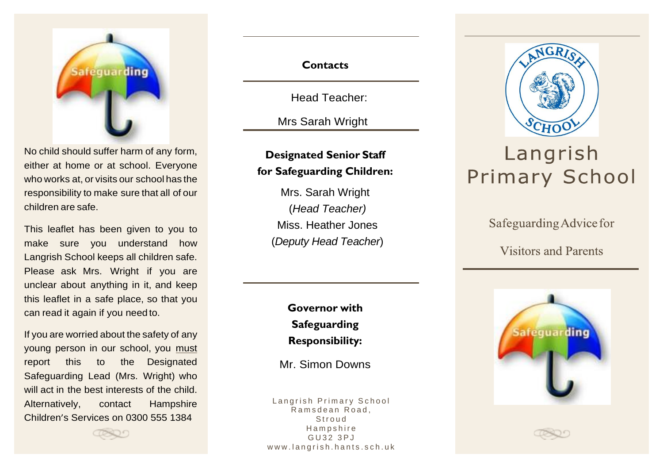

No child should suffer harm of any form, either at home or at school. Everyone who works at, or visits our school has the responsibility to make sure that all of our children are safe.

This leaflet has been given to you to make sure you understand how Langrish School keeps all children safe. Please ask Mrs. Wright if you are unclear about anything in it, and keep this leaflet in a safe place, so that you can read it again if you need to.

If you are worried about the safety of any young person in our school, you must report this to the Designated Safeguarding Lead (Mrs. Wright) who will act in the best interests of the child. Alternatively, contact Hampshire Children's Services on 0300 555 1384

### **Contacts**

Head Teacher:

Mrs Sarah Wright

## **Designated Senior Staff for Safeguarding Children:**

Mrs. Sarah Wright (*Head Teacher)* Miss. Heather Jones (*Deputy Head Teacher*)

> **Governor with Safeguarding Responsibility:**

Mr. Simon Downs

Langrish Primary School Ramsdean Road, **Stroud** H a m p s h i r e G U 3 2 3 P J www.langrish.hants.sch.uk



# Langrish **Primary School**

Safeguarding Advice for

**Visitors and Parents**